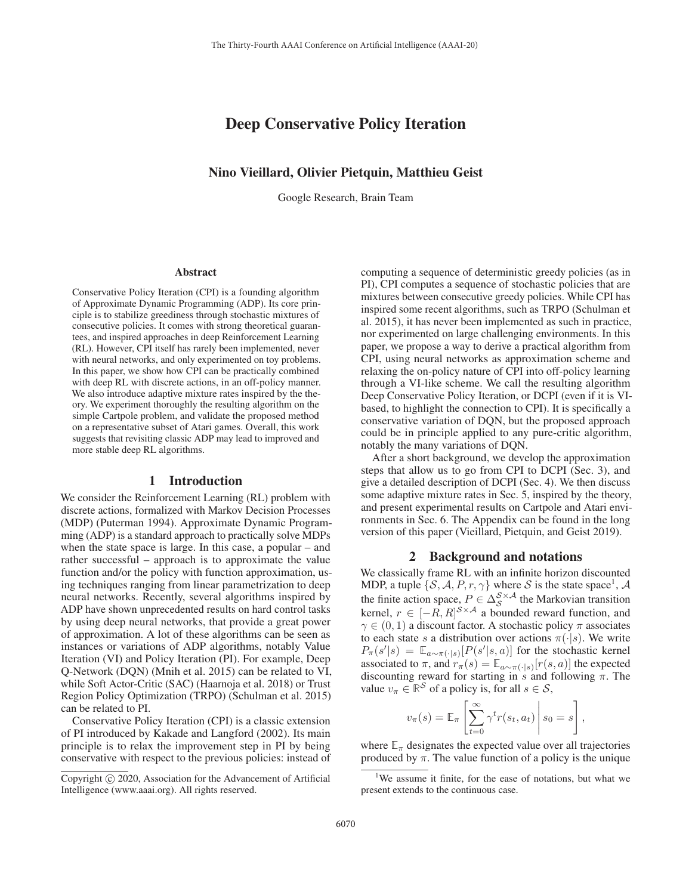# Deep Conservative Policy Iteration

## Nino Vieillard, Olivier Pietquin, Matthieu Geist

Google Research, Brain Team

#### Abstract

Conservative Policy Iteration (CPI) is a founding algorithm of Approximate Dynamic Programming (ADP). Its core principle is to stabilize greediness through stochastic mixtures of consecutive policies. It comes with strong theoretical guarantees, and inspired approaches in deep Reinforcement Learning (RL). However, CPI itself has rarely been implemented, never with neural networks, and only experimented on toy problems. In this paper, we show how CPI can be practically combined with deep RL with discrete actions, in an off-policy manner. We also introduce adaptive mixture rates inspired by the theory. We experiment thoroughly the resulting algorithm on the simple Cartpole problem, and validate the proposed method on a representative subset of Atari games. Overall, this work suggests that revisiting classic ADP may lead to improved and more stable deep RL algorithms.

## 1 Introduction

We consider the Reinforcement Learning (RL) problem with discrete actions, formalized with Markov Decision Processes (MDP) (Puterman 1994). Approximate Dynamic Programming (ADP) is a standard approach to practically solve MDPs when the state space is large. In this case, a popular – and rather successful – approach is to approximate the value function and/or the policy with function approximation, using techniques ranging from linear parametrization to deep neural networks. Recently, several algorithms inspired by ADP have shown unprecedented results on hard control tasks by using deep neural networks, that provide a great power of approximation. A lot of these algorithms can be seen as instances or variations of ADP algorithms, notably Value Iteration (VI) and Policy Iteration (PI). For example, Deep Q-Network (DQN) (Mnih et al. 2015) can be related to VI, while Soft Actor-Critic (SAC) (Haarnoja et al. 2018) or Trust Region Policy Optimization (TRPO) (Schulman et al. 2015) can be related to PI.

Conservative Policy Iteration (CPI) is a classic extension of PI introduced by Kakade and Langford (2002). Its main principle is to relax the improvement step in PI by being conservative with respect to the previous policies: instead of computing a sequence of deterministic greedy policies (as in PI), CPI computes a sequence of stochastic policies that are mixtures between consecutive greedy policies. While CPI has inspired some recent algorithms, such as TRPO (Schulman et al. 2015), it has never been implemented as such in practice, nor experimented on large challenging environments. In this paper, we propose a way to derive a practical algorithm from CPI, using neural networks as approximation scheme and relaxing the on-policy nature of CPI into off-policy learning through a VI-like scheme. We call the resulting algorithm Deep Conservative Policy Iteration, or DCPI (even if it is VIbased, to highlight the connection to CPI). It is specifically a conservative variation of DQN, but the proposed approach could be in principle applied to any pure-critic algorithm, notably the many variations of DQN.

After a short background, we develop the approximation steps that allow us to go from CPI to DCPI (Sec. 3), and give a detailed description of DCPI (Sec. 4). We then discuss some adaptive mixture rates in Sec. 5, inspired by the theory, and present experimental results on Cartpole and Atari environments in Sec. 6. The Appendix can be found in the long version of this paper (Vieillard, Pietquin, and Geist 2019).

#### 2 Background and notations

We classically frame RL with an infinite horizon discounted MDP, a tuple  $\{S, A, P, r, \gamma\}$  where S is the state space<sup>1</sup>, A the finite action space,  $P \in \Delta_S^{S \times A}$  the Markovian transition kernel,  $r \in [-R, R]^{S \times A}$  a bounded reward function, and  $\gamma \in (0, 1)$  a discount factor. A stochastic policy  $\pi$  associates to each state s a distribution over actions  $\pi(\cdot|s)$ . We write  $P_{\pi}(s'|s) = \mathbb{E}_{a \sim \pi(\cdot|s)}[P(s'|s,a)]$  for the stochastic kernel associated to  $\pi$ , and  $r_{\pi}(s) = \mathbb{E}_{a \sim \pi(\cdot|s)}[r(s, a)]$  the expected discounting reward for starting in s and following  $\pi$ . The value  $v_{\pi} \in \mathbb{R}^{\mathcal{S}}$  of a policy is, for all  $s \in \mathcal{S}$ ,

$$
v_{\pi}(s) = \mathbb{E}_{\pi} \left[ \sum_{t=0}^{\infty} \gamma^{t} r(s_{t}, a_{t}) \middle| s_{0} = s \right],
$$

where  $\mathbb{E}_{\pi}$  designates the expected value over all trajectories produced by  $\pi$ . The value function of a policy is the unique

Copyright  $\odot$  2020, Association for the Advancement of Artificial Intelligence (www.aaai.org). All rights reserved.

<sup>&</sup>lt;sup>1</sup>We assume it finite, for the ease of notations, but what we present extends to the continuous case.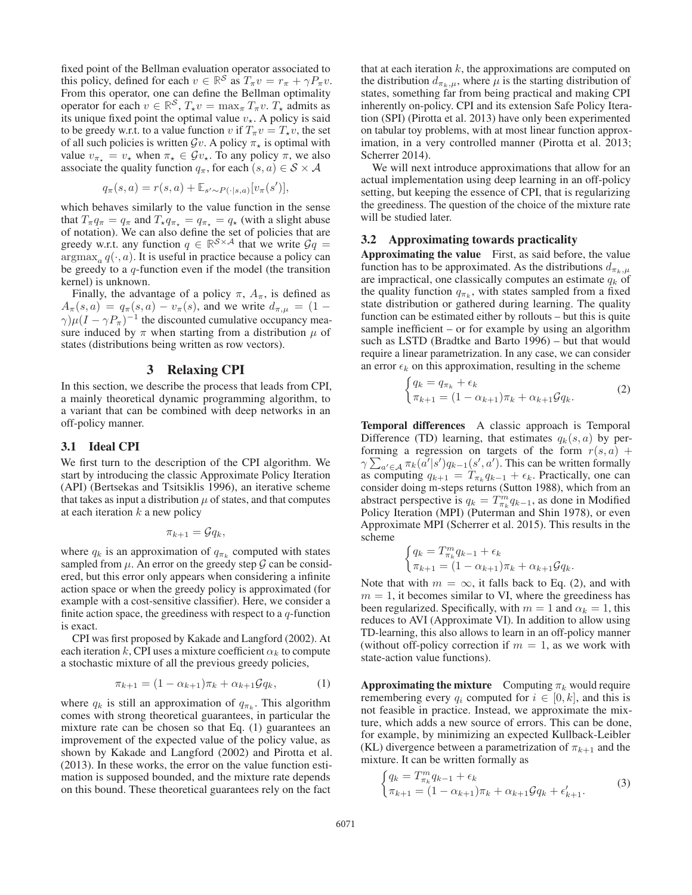fixed point of the Bellman evaluation operator associated to this policy, defined for each  $v \in \mathbb{R}^S$  as  $T_\pi v = r_\pi + \gamma P_\pi v$ . From this operator, one can define the Bellman optimality operator for each  $v \in \mathbb{R}^{\mathcal{S}}$ ,  $T_{\star}v = \max_{\pi} T_{\pi}v$ .  $T_{\star}$  admits as its unique fixed point the optimal value  $v_{\star}$ . A policy is said to be greedy w.r.t. to a value function v if  $T_\pi v = T_\star v$ , the set of all such policies is written  $\mathcal{G}v$ . A policy  $\pi_{\star}$  is optimal with value  $v_{\pi_{\star}} = v_{\star}$  when  $\pi_{\star} \in \mathcal{G}v_{\star}$ . To any policy  $\pi$ , we also associate the quality function  $q_{\pi}$ , for each  $(s, a) \in S \times A$ 

$$
q_{\pi}(s, a) = r(s, a) + \mathbb{E}_{s' \sim P(\cdot | s, a)}[v_{\pi}(s')],
$$

which behaves similarly to the value function in the sense that  $T_{\pi}q_{\pi} = q_{\pi}$  and  $T_{\star}q_{\pi_{\star}} = q_{\pi_{\star}} = q_{\star}$  (with a slight abuse of notation). We can also define the set of policies that are greedy w.r.t. any function  $q \in \mathbb{R}^{S \times A}$  that we write  $\mathcal{G}q =$  $argmax_a q(\cdot, a)$ . It is useful in practice because a policy can be greedy to a  $q$ -function even if the model (the transition kernel) is unknown.

Finally, the advantage of a policy  $\pi$ ,  $A_{\pi}$ , is defined as  $A_{\pi}(s, a) = q_{\pi}(s, a) - v_{\pi}(s)$ , and we write  $d_{\pi, \mu} = (1 \gamma$ ) $\mu (I - \gamma P_{\pi})^{-1}$  the discounted cumulative occupancy measure induced by  $\pi$  when starting from a distribution  $\mu$  of states (distributions being written as row vectors).

### 3 Relaxing CPI

In this section, we describe the process that leads from CPI, a mainly theoretical dynamic programming algorithm, to a variant that can be combined with deep networks in an off-policy manner.

#### 3.1 Ideal CPI

We first turn to the description of the CPI algorithm. We start by introducing the classic Approximate Policy Iteration (API) (Bertsekas and Tsitsiklis 1996), an iterative scheme that takes as input a distribution  $\mu$  of states, and that computes at each iteration  $k$  a new policy

$$
\pi_{k+1} = \mathcal{G}q_k,
$$

where  $q_k$  is an approximation of  $q_{\pi_k}$  computed with states sampled from  $\mu$ . An error on the greedy step  $\mathcal G$  can be considered, but this error only appears when considering a infinite action space or when the greedy policy is approximated (for example with a cost-sensitive classifier). Here, we consider a finite action space, the greediness with respect to a  $q$ -function is exact.

CPI was first proposed by Kakade and Langford (2002). At each iteration k, CPI uses a mixture coefficient  $\alpha_k$  to compute a stochastic mixture of all the previous greedy policies,

$$
\pi_{k+1} = (1 - \alpha_{k+1})\pi_k + \alpha_{k+1}\mathcal{G}q_k, \tag{1}
$$

where  $q_k$  is still an approximation of  $q_{\pi_k}$ . This algorithm comes with strong theoretical guarantees, in particular the mixture rate can be chosen so that Eq. (1) guarantees an improvement of the expected value of the policy value, as shown by Kakade and Langford (2002) and Pirotta et al. (2013). In these works, the error on the value function estimation is supposed bounded, and the mixture rate depends on this bound. These theoretical guarantees rely on the fact

that at each iteration  $k$ , the approximations are computed on the distribution  $d_{\pi_k,\mu}$ , where  $\mu$  is the starting distribution of states, something far from being practical and making CPI inherently on-policy. CPI and its extension Safe Policy Iteration (SPI) (Pirotta et al. 2013) have only been experimented on tabular toy problems, with at most linear function approximation, in a very controlled manner (Pirotta et al. 2013; Scherrer 2014).

We will next introduce approximations that allow for an actual implementation using deep learning in an off-policy setting, but keeping the essence of CPI, that is regularizing the greediness. The question of the choice of the mixture rate will be studied later.

#### 3.2 Approximating towards practicality

Approximating the value First, as said before, the value function has to be approximated. As the distributions  $d_{\pi_k,\mu}$ are impractical, one classically computes an estimate  $q_k$  of the quality function  $q_{\pi_k}$ , with states sampled from a fixed state distribution or gathered during learning. The quality function can be estimated either by rollouts – but this is quite sample inefficient – or for example by using an algorithm such as LSTD (Bradtke and Barto 1996) – but that would require a linear parametrization. In any case, we can consider an error  $\epsilon_k$  on this approximation, resulting in the scheme

$$
\begin{cases} q_k = q_{\pi_k} + \epsilon_k \\ \pi_{k+1} = (1 - \alpha_{k+1})\pi_k + \alpha_{k+1}\mathcal{G}q_k. \end{cases}
$$
 (2)

Temporal differences A classic approach is Temporal Difference (TD) learning, that estimates  $q_k(s, a)$  by performing a regression on targets of the form  $r(s, a)$  +  $\gamma \sum_{a' \in \mathcal{A}} \pi_k(a'|s') q_{k-1}(s', a')$ . This can be written formally as computing  $q_{k+1} = T_{\pi_k} q_{k-1} + \epsilon_k$ . Practically, one can consider doing m-steps returns (Sutton 1988), which from an abstract perspective is  $q_k = T_{\pi_k}^m q_{k-1}$ , as done in Modified Policy Iteration (MPI) (Puterman and Shin 1978), or even Approximate MPI (Scherrer et al. 2015). This results in the scheme

$$
\begin{cases} q_k = T_{\pi_k}^m q_{k-1} + \epsilon_k \\ \pi_{k+1} = (1 - \alpha_{k+1})\pi_k + \alpha_{k+1} \mathcal{G} q_k. \end{cases}
$$

Note that with  $m = \infty$ , it falls back to Eq. (2), and with  $m = 1$ , it becomes similar to VI, where the greediness has been regularized. Specifically, with  $m = 1$  and  $\alpha_k = 1$ , this reduces to AVI (Approximate VI). In addition to allow using TD-learning, this also allows to learn in an off-policy manner (without off-policy correction if  $m = 1$ , as we work with state-action value functions).

**Approximating the mixture** Computing  $\pi_k$  would require remembering every  $q_i$  computed for  $i \in [0, k]$ , and this is not feasible in practice. Instead, we approximate the mixture, which adds a new source of errors. This can be done, for example, by minimizing an expected Kullback-Leibler (KL) divergence between a parametrization of  $\pi_{k+1}$  and the mixture. It can be written formally as

$$
\begin{cases} q_k = T_{\pi_k}^m q_{k-1} + \epsilon_k \\ \pi_{k+1} = (1 - \alpha_{k+1})\pi_k + \alpha_{k+1} \mathcal{G} q_k + \epsilon'_{k+1}. \end{cases} \tag{3}
$$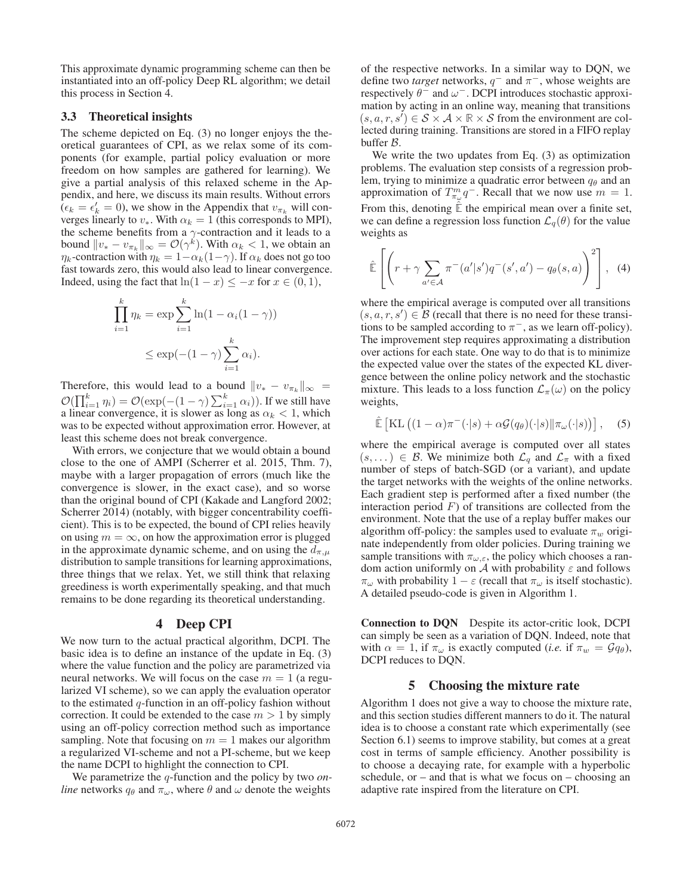This approximate dynamic programming scheme can then be instantiated into an off-policy Deep RL algorithm; we detail this process in Section 4.

## 3.3 Theoretical insights

The scheme depicted on Eq. (3) no longer enjoys the theoretical guarantees of CPI, as we relax some of its components (for example, partial policy evaluation or more freedom on how samples are gathered for learning). We give a partial analysis of this relaxed scheme in the Appendix, and here, we discuss its main results. Without errors  $(\epsilon_k = \epsilon'_k = 0)$ , we show in the Appendix that  $v_{\pi_k}$  will converges linearly to  $v_*$ . With  $\alpha_k = 1$  (this corresponds to MPI), the scheme benefits from a  $\gamma$ -contraction and it leads to a bound  $||v_* - v_{\pi_k}||_{\infty} = \mathcal{O}(\gamma^k)$ . With  $\alpha_k < 1$ , we obtain an  $\eta_k$ -contraction with  $\eta_k = 1 - \alpha_k(1-\gamma)$ . If  $\alpha_k$  does not go too fast towards zero, this would also lead to linear convergence. Indeed, using the fact that  $ln(1 - x) \leq -x$  for  $x \in (0, 1)$ ,

$$
\prod_{i=1}^{k} \eta_k = \exp \sum_{i=1}^{k} \ln(1 - \alpha_i(1 - \gamma))
$$

$$
\leq \exp(-(1 - \gamma) \sum_{i=1}^{k} \alpha_i).
$$

Therefore, this would lead to a bound  $||v_* - v_{\pi_k}||_{\infty} =$  $\mathcal{O}(\prod_{i=1}^k \eta_i) = \mathcal{O}(\exp(-(1-\gamma)\sum_{i=1}^k \alpha_i)).$  If we still have a linear convergence, it is slower as long as  $\alpha_k < 1$ , which was to be expected without approximation error. However, at least this scheme does not break convergence.

With errors, we conjecture that we would obtain a bound close to the one of AMPI (Scherrer et al. 2015, Thm. 7), maybe with a larger propagation of errors (much like the convergence is slower, in the exact case), and so worse than the original bound of CPI (Kakade and Langford 2002; Scherrer 2014) (notably, with bigger concentrability coefficient). This is to be expected, the bound of CPI relies heavily on using  $m = \infty$ , on how the approximation error is plugged in the approximate dynamic scheme, and on using the  $d_{\pi,\mu}$ distribution to sample transitions for learning approximations, three things that we relax. Yet, we still think that relaxing greediness is worth experimentally speaking, and that much remains to be done regarding its theoretical understanding.

### 4 Deep CPI

We now turn to the actual practical algorithm, DCPI. The basic idea is to define an instance of the update in Eq. (3) where the value function and the policy are parametrized via neural networks. We will focus on the case  $m = 1$  (a regularized VI scheme), so we can apply the evaluation operator to the estimated  $q$ -function in an off-policy fashion without correction. It could be extended to the case  $m > 1$  by simply using an off-policy correction method such as importance sampling. Note that focusing on  $m = 1$  makes our algorithm a regularized VI-scheme and not a PI-scheme, but we keep the name DCPI to highlight the connection to CPI.

We parametrize the q-function and the policy by two *online* networks  $q_{\theta}$  and  $\pi_{\omega}$ , where  $\theta$  and  $\omega$  denote the weights

of the respective networks. In a similar way to DQN, we define two *target* networks,  $q^-$  and  $\pi^-$ , whose weights are respectively  $\theta^-$  and  $\omega^-$ . DCPI introduces stochastic approximation by acting in an online way, meaning that transitions  $(s, a, r, s') \in S \times A \times \mathbb{R} \times S$  from the environment are collected during training. Transitions are stored in a FIFO replay buffer B.

We write the two updates from Eq. (3) as optimization problems. The evaluation step consists of a regression problem, trying to minimize a quadratic error between  $q_\theta$  and an approximation of  $T_{\pi_{\omega}}^m q^{-}$ . Recall that we now use  $m = 1$ . From this, denoting  $E$  the empirical mean over a finite set, we can define a regression loss function  $\mathcal{L}_q(\theta)$  for the value weights as

$$
\hat{\mathbb{E}}\left[\left(r+\gamma\sum_{a'\in\mathcal{A}}\pi^-(a'|s')q^-(s',a')-q_\theta(s,a)\right)^2\right],\tag{4}
$$

where the empirical average is computed over all transitions  $(s, a, r, s') \in \mathcal{B}$  (recall that there is no need for these transitions to be sampled according to  $\pi^-$ , as we learn off-policy). The improvement step requires approximating a distribution over actions for each state. One way to do that is to minimize the expected value over the states of the expected KL divergence between the online policy network and the stochastic mixture. This leads to a loss function  $\mathcal{L}_{\pi}(\omega)$  on the policy weights,

$$
\hat{\mathbb{E}}\left[\mathrm{KL}\left((1-\alpha)\pi^{-}(\cdot|s) + \alpha \mathcal{G}(q_{\theta})(\cdot|s)||\pi_{\omega}(\cdot|s)\right)\right],\quad(5)
$$

where the empirical average is computed over all states  $(s, \ldots) \in \mathcal{B}$ . We minimize both  $\mathcal{L}_q$  and  $\mathcal{L}_\pi$  with a fixed number of steps of batch-SGD (or a variant), and update the target networks with the weights of the online networks. Each gradient step is performed after a fixed number (the interaction period  $F$ ) of transitions are collected from the environment. Note that the use of a replay buffer makes our algorithm off-policy: the samples used to evaluate  $\pi_w$  originate independently from older policies. During training we sample transitions with  $\pi_{\omega,\varepsilon}$ , the policy which chooses a random action uniformly on A with probability  $\varepsilon$  and follows  $\pi_{\omega}$  with probability  $1 - \varepsilon$  (recall that  $\pi_{\omega}$  is itself stochastic). A detailed pseudo-code is given in Algorithm 1.

Connection to DQN Despite its actor-critic look, DCPI can simply be seen as a variation of DQN. Indeed, note that with  $\alpha = 1$ , if  $\pi_{\omega}$  is exactly computed (*i.e.* if  $\pi_{w} = \mathcal{G}q_{\theta}$ ), DCPI reduces to DQN.

#### 5 Choosing the mixture rate

Algorithm 1 does not give a way to choose the mixture rate, and this section studies different manners to do it. The natural idea is to choose a constant rate which experimentally (see Section 6.1) seems to improve stability, but comes at a great cost in terms of sample efficiency. Another possibility is to choose a decaying rate, for example with a hyperbolic schedule, or – and that is what we focus on – choosing an adaptive rate inspired from the literature on CPI.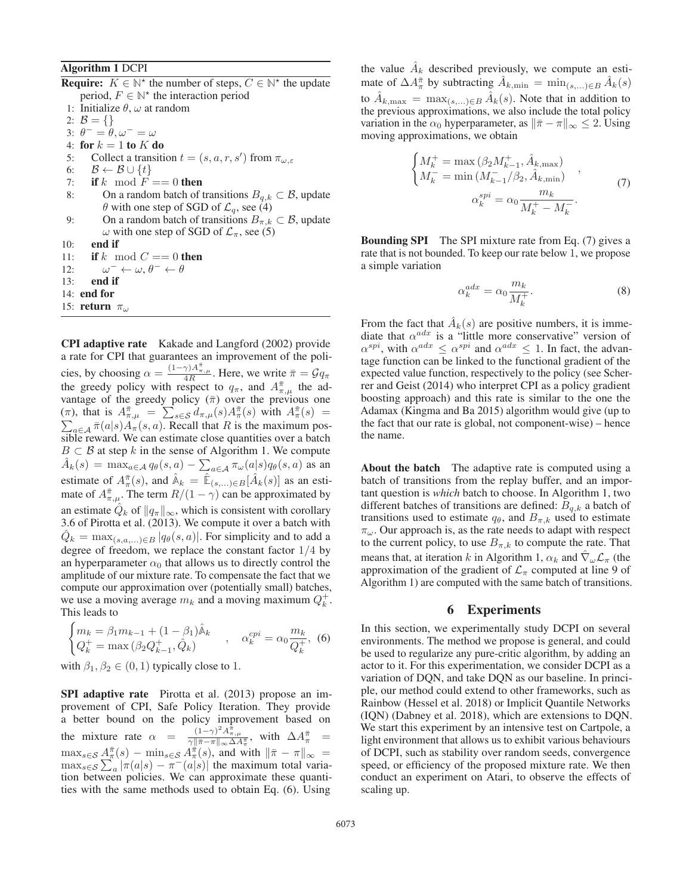### Algorithm 1 DCPI

**Require:**  $K \in \mathbb{N}^*$  the number of steps,  $C \in \mathbb{N}^*$  the update period,  $F \in \mathbb{N}^*$  the interaction period 1: Initialize  $\theta$ ,  $\omega$  at random

- 2:  $B = \{\}$
- 3:  $\theta^- = \theta, \omega^- = \omega$
- 4: for  $k = 1$  to  $K$  do
- 
- 5: Collect a transition  $t = (s, a, r, s')$  from  $\pi_{\omega, \varepsilon}$
- 6:  $\mathcal{B} \leftarrow \mathcal{B} \cup \{t\}$ 7: if k mod  $\overline{F} == 0$  then
- 8: On a random batch of transitions  $B_{q,k} \subset \mathcal{B}$ , update  $\theta$  with one step of SGD of  $\mathcal{L}_q$ , see (4)
- 9: On a random batch of transitions  $B_{\pi,k} \subset \mathcal{B}$ , update ω with one step of SGD of  $\mathcal{L}_{\pi}$ , see (5)
- 10: end if
- 11: if k mod  $C == 0$  then
- 12:  $\omega^- \leftarrow \omega, \theta^- \leftarrow \theta$
- 13: end if
- 14: end for
- 15: return  $\pi_{\omega}$

CPI adaptive rate Kakade and Langford (2002) provide a rate for CPI that guarantees an improvement of the policies, by choosing  $\alpha = \frac{(1-\gamma)A_{\pi,\mu}^{\pi}}{4R}$ . Here, we write  $\bar{\pi} = \mathcal{G}q_{\pi}$ the greedy policy with respect to  $q_{\pi}$ , and  $A_{\pi,\mu}^{\pi}$  the advantage of the greedy policy  $(\bar{\pi})$  over the previous one (π), that is  $A_{\pi,\mu}^{\bar{\pi}} = \sum_{s \in S} d_{\pi,\mu}(s) A_{\pi}^{\bar{\pi}}(s)$  with  $A_{\pi}^{\bar{\pi}}(s)$  $\sum_{a \in A} \overline{\pi}(a|s) A_{\pi}(s, a)$ . Recall that R is the maximum possible reward. We can estimate close quantities over a batch  $B \subset \mathcal{B}$  at step k in the sense of Algorithm 1. We compute  $\hat{A}_k(s) = \max_{a \in \mathcal{A}} q_\theta(s, a) - \sum_{a \in \mathcal{A}} \pi_\omega(a|s) q_\theta(s, a)$  as an estimate of  $A_{\pi}^{\bar{\pi}}(s)$ , and  $\hat{A}_k = \hat{E}_{(s,\dots)\in B}[\hat{A}_k(s)]$  as an estimate of  $A_{\pi,\mu}^{\pi}$ . The term  $R/(1-\gamma)$  can be approximated by an estimate  $Q_k$  of  $||q_\pi||_\infty$ , which is consistent with corollary 3.6 of Pirotta et al. (2013). We compute it over a batch with  $\hat{Q}_k = \max_{(s,a,\ldots)\in B} |q_\theta(s,a)|$ . For simplicity and to add a degree of freedom, we replace the constant factor  $1/4$  by an hyperparameter  $\alpha_0$  that allows us to directly control the amplitude of our mixture rate. To compensate the fact that we compute our approximation over (potentially small) batches, we use a moving average  $m_k$  and a moving maximum  $Q_k^+$ . This leads to

$$
\begin{cases} m_k = \beta_1 m_{k-1} + (1 - \beta_1) \hat{\mathbb{A}}_k \\ Q_k^+ = \max \left( \beta_2 Q_{k-1}^+, \hat{Q}_k \right) \end{cases}, \quad \alpha_k^{cpi} = \alpha_0 \frac{m_k}{Q_k^+}, \tag{6}
$$

with  $\beta_1, \beta_2 \in (0, 1)$  typically close to 1.

SPI adaptive rate Pirotta et al. (2013) propose an improvement of CPI, Safe Policy Iteration. They provide a better bound on the policy improvement based on the mixture rate  $\alpha = \frac{(1-\gamma)^2 A_{\pi,\mu}^2}{\gamma \|\bar{\pi} - \pi\|_{\infty} \Delta A_{\pi}^{\pi}}$ , with  $\Delta A_{\pi}^{\bar{\pi}} =$  $\max_{s \in \mathcal{S}} A^{\bar{\pi}}_{\pi}(s) - \min_{s \in \mathcal{S}} A^{\bar{\pi}}_{\pi}(s)$ , and with  $\|\bar{\pi} - \pi\|_{\infty} =$  $\max_{s \in \mathcal{S}} \sum_{a}^n |\pi(a|s) - \pi(a|s)|$  the maximum total variation between policies. We can approximate these quantities with the same methods used to obtain Eq. (6). Using

the value  $A_k$  described previously, we compute an estimate of  $\Delta A_{\pi}^{\bar{\pi}}$  by subtracting  $\hat{A}_{k,\min} = \min_{(s,\dots)\in B} \hat{A}_k(s)$ to  $A_{k,\max} = \max_{(s,\ldots)\in B} \tilde{A}_k(s)$ . Note that in addition to the previous approximations, we also include the total policy variation in the  $\alpha_0$  hyperparameter, as  $\|\bar{\pi} - \pi\|_{\infty} \leq 2$ . Using moving approximations, we obtain

$$
\begin{cases}\nM_k^+ = \max (\beta_2 M_{k-1}^+, \hat{A}_{k, \max}) \\
M_k^- = \min (M_{k-1}^- / \beta_2, \hat{A}_{k, \min}) \\
\alpha_k^{spi} = \alpha_0 \frac{m_k}{M_k^+ - M_k^-}.\n\end{cases} (7)
$$

Bounding SPI The SPI mixture rate from Eq. (7) gives a rate that is not bounded. To keep our rate below 1, we propose a simple variation

$$
\alpha_k^{adx} = \alpha_0 \frac{m_k}{M_k^+}.\tag{8}
$$

From the fact that  $A_k(s)$  are positive numbers, it is immediate that  $\alpha^{adx}$  is a "little more conservative" version of  $\alpha^{spl}$ , with  $\alpha^{adar} \leq \alpha^{spl}$  and  $\alpha^{adar} \leq 1$ . In fact, the advantage function can be linked to the functional gradient of the expected value function, respectively to the policy (see Scherrer and Geist (2014) who interpret CPI as a policy gradient boosting approach) and this rate is similar to the one the Adamax (Kingma and Ba 2015) algorithm would give (up to the fact that our rate is global, not component-wise) – hence the name.

About the batch The adaptive rate is computed using a batch of transitions from the replay buffer, and an important question is *which* batch to choose. In Algorithm 1, two different batches of transitions are defined:  $\mathcal{B}_{q,k}$  a batch of transitions used to estimate  $q_{\theta}$ , and  $B_{\pi,k}$  used to estimate  $\pi_{\omega}$ . Our approach is, as the rate needs to adapt with respect to the current policy, to use  $B_{\pi,k}$  to compute the rate. That means that, at iteration k in Algorithm 1,  $\alpha_k$  and  $\hat{\nabla}_{\omega} \mathcal{L}_{\pi}$  (the approximation of the gradient of  $\mathcal{L}_{\pi}$  computed at line 9 of Algorithm 1) are computed with the same batch of transitions.

### 6 Experiments

In this section, we experimentally study DCPI on several environments. The method we propose is general, and could be used to regularize any pure-critic algorithm, by adding an actor to it. For this experimentation, we consider DCPI as a variation of DQN, and take DQN as our baseline. In principle, our method could extend to other frameworks, such as Rainbow (Hessel et al. 2018) or Implicit Quantile Networks (IQN) (Dabney et al. 2018), which are extensions to DQN. We start this experiment by an intensive test on Cartpole, a light environment that allows us to exhibit various behaviours of DCPI, such as stability over random seeds, convergence speed, or efficiency of the proposed mixture rate. We then conduct an experiment on Atari, to observe the effects of scaling up.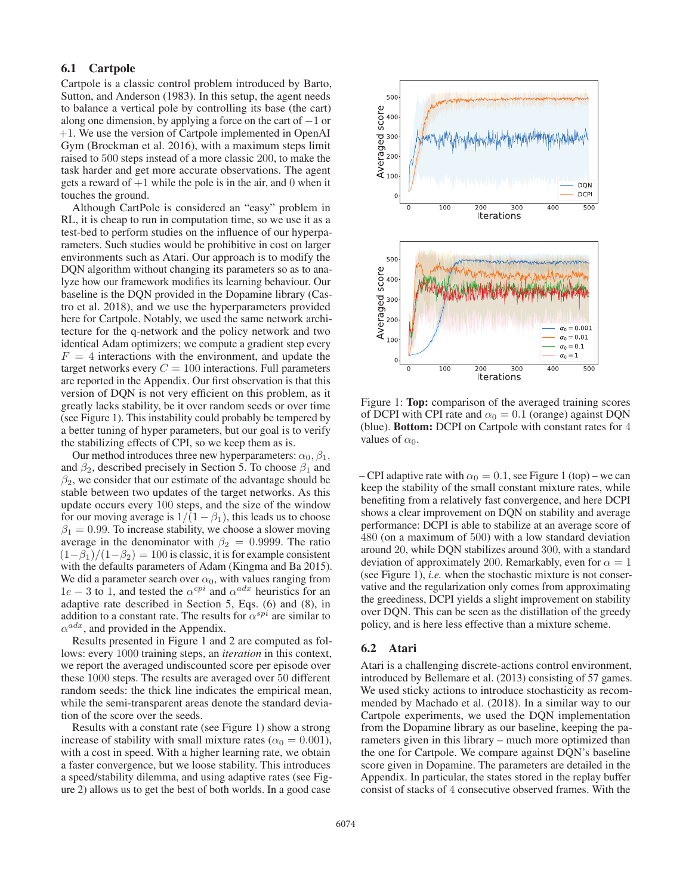## 6.1 Cartpole

Cartpole is a classic control problem introduced by Barto, Sutton, and Anderson (1983). In this setup, the agent needs to balance a vertical pole by controlling its base (the cart) along one dimension, by applying a force on the cart of  $-1$  or +1. We use the version of Cartpole implemented in OpenAI Gym (Brockman et al. 2016), with a maximum steps limit raised to 500 steps instead of a more classic 200, to make the task harder and get more accurate observations. The agent gets a reward of  $+1$  while the pole is in the air, and 0 when it touches the ground.

Although CartPole is considered an "easy" problem in RL, it is cheap to run in computation time, so we use it as a test-bed to perform studies on the influence of our hyperparameters. Such studies would be prohibitive in cost on larger environments such as Atari. Our approach is to modify the DQN algorithm without changing its parameters so as to analyze how our framework modifies its learning behaviour. Our baseline is the DQN provided in the Dopamine library (Castro et al. 2018), and we use the hyperparameters provided here for Cartpole. Notably, we used the same network architecture for the q-network and the policy network and two identical Adam optimizers; we compute a gradient step every  $F = 4$  interactions with the environment, and update the target networks every  $C = 100$  interactions. Full parameters are reported in the Appendix. Our first observation is that this version of DQN is not very efficient on this problem, as it greatly lacks stability, be it over random seeds or over time (see Figure 1). This instability could probably be tempered by a better tuning of hyper parameters, but our goal is to verify the stabilizing effects of CPI, so we keep them as is.

Our method introduces three new hyperparameters:  $\alpha_0$ ,  $\beta_1$ , and  $\beta_2$ , described precisely in Section 5. To choose  $\beta_1$  and  $\beta_2$ , we consider that our estimate of the advantage should be stable between two updates of the target networks. As this update occurs every 100 steps, and the size of the window for our moving average is  $1/(1 - \beta_1)$ , this leads us to choose  $\beta_1 = 0.99$ . To increase stability, we choose a slower moving average in the denominator with  $\beta_2 = 0.9999$ . The ratio  $(1-\beta_1)/(1-\beta_2) = 100$  is classic, it is for example consistent with the defaults parameters of Adam (Kingma and Ba 2015). We did a parameter search over  $\alpha_0$ , with values ranging from  $1e - 3$  to 1, and tested the  $\alpha^{cpi}$  and  $\alpha^{adx}$  heuristics for an adaptive rate described in Section 5, Eqs. (6) and (8), in addition to a constant rate. The results for  $\alpha^{spi}$  are similar to  $\alpha^{adx}$ , and provided in the Appendix.

Results presented in Figure 1 and 2 are computed as follows: every 1000 training steps, an *iteration* in this context, we report the averaged undiscounted score per episode over these 1000 steps. The results are averaged over 50 different random seeds: the thick line indicates the empirical mean, while the semi-transparent areas denote the standard deviation of the score over the seeds.

Results with a constant rate (see Figure 1) show a strong increase of stability with small mixture rates ( $\alpha_0 = 0.001$ ), with a cost in speed. With a higher learning rate, we obtain a faster convergence, but we loose stability. This introduces a speed/stability dilemma, and using adaptive rates (see Figure 2) allows us to get the best of both worlds. In a good case



Figure 1: Top: comparison of the averaged training scores of DCPI with CPI rate and  $\alpha_0 = 0.1$  (orange) against DQN (blue). Bottom: DCPI on Cartpole with constant rates for 4 values of  $\alpha_0$ .

– CPI adaptive rate with  $\alpha_0 = 0.1$ , see Figure 1 (top) – we can keep the stability of the small constant mixture rates, while benefiting from a relatively fast convergence, and here DCPI shows a clear improvement on DQN on stability and average performance: DCPI is able to stabilize at an average score of 480 (on a maximum of 500) with a low standard deviation around 20, while DQN stabilizes around 300, with a standard deviation of approximately 200. Remarkably, even for  $\alpha = 1$ (see Figure 1), *i.e.* when the stochastic mixture is not conservative and the regularization only comes from approximating the greediness, DCPI yields a slight improvement on stability over DQN. This can be seen as the distillation of the greedy policy, and is here less effective than a mixture scheme.

#### 6.2 Atari

Atari is a challenging discrete-actions control environment, introduced by Bellemare et al. (2013) consisting of 57 games. We used sticky actions to introduce stochasticity as recommended by Machado et al. (2018). In a similar way to our Cartpole experiments, we used the DQN implementation from the Dopamine library as our baseline, keeping the parameters given in this library – much more optimized than the one for Cartpole. We compare against DQN's baseline score given in Dopamine. The parameters are detailed in the Appendix. In particular, the states stored in the replay buffer consist of stacks of 4 consecutive observed frames. With the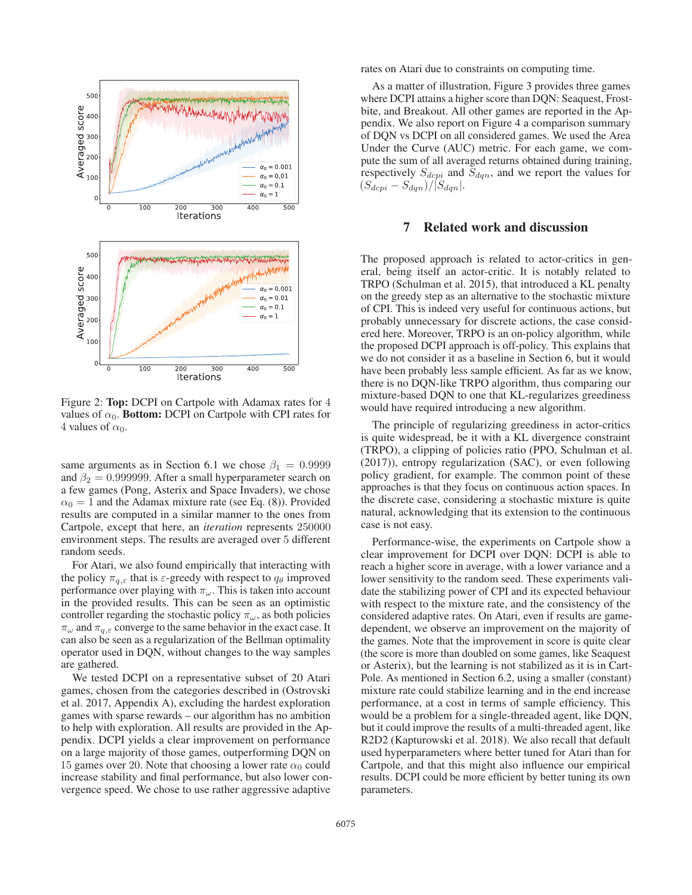

Figure 2: Top: DCPI on Cartpole with Adamax rates for 4 values of  $\alpha_0$ . **Bottom:** DCPI on Cartpole with CPI rates for 4 values of  $\alpha_0$ .

same arguments as in Section 6.1 we chose  $\beta_1 = 0.9999$ and  $\beta_2 = 0.999999$ . After a small hyperparameter search on a few games (Pong, Asterix and Space Invaders), we chose  $\alpha_0 = 1$  and the Adamax mixture rate (see Eq. (8)). Provided results are computed in a similar manner to the ones from Cartpole, except that here, an *iteration* represents 250000 environment steps. The results are averaged over 5 different random seeds.

For Atari, we also found empirically that interacting with the policy  $\pi_{q,\varepsilon}$  that is  $\varepsilon$ -greedy with respect to  $q_\theta$  improved performance over playing with  $\pi_{\omega}$ . This is taken into account in the provided results. This can be seen as an optimistic controller regarding the stochastic policy  $\pi_{\omega}$ , as both policies  $\pi_{\omega}$  and  $\pi_{q,\varepsilon}$  converge to the same behavior in the exact case. It can also be seen as a regularization of the Bellman optimality operator used in DQN, without changes to the way samples are gathered.

We tested DCPI on a representative subset of 20 Atari games, chosen from the categories described in (Ostrovski et al. 2017, Appendix A), excluding the hardest exploration games with sparse rewards – our algorithm has no ambition to help with exploration. All results are provided in the Appendix. DCPI yields a clear improvement on performance on a large majority of those games, outperforming DQN on 15 games over 20. Note that choosing a lower rate  $\alpha_0$  could increase stability and final performance, but also lower convergence speed. We chose to use rather aggressive adaptive

rates on Atari due to constraints on computing time.

As a matter of illustration, Figure 3 provides three games where DCPI attains a higher score than DQN: Seaquest, Frostbite, and Breakout. All other games are reported in the Appendix. We also report on Figure 4 a comparison summary of DQN vs DCPI on all considered games. We used the Area Under the Curve (AUC) metric. For each game, we compute the sum of all averaged returns obtained during training, respectively  $S_{dcpi}$  and  $S_{dqn}$ , and we report the values for  $(S_{dcpi} - S_{dgn})/|S_{dgn}|$ .

### 7 Related work and discussion

The proposed approach is related to actor-critics in general, being itself an actor-critic. It is notably related to TRPO (Schulman et al. 2015), that introduced a KL penalty on the greedy step as an alternative to the stochastic mixture of CPI. This is indeed very useful for continuous actions, but probably unnecessary for discrete actions, the case considered here. Moreover, TRPO is an on-policy algorithm, while the proposed DCPI approach is off-policy. This explains that we do not consider it as a baseline in Section 6, but it would have been probably less sample efficient. As far as we know, there is no DQN-like TRPO algorithm, thus comparing our mixture-based DQN to one that KL-regularizes greediness would have required introducing a new algorithm.

The principle of regularizing greediness in actor-critics is quite widespread, be it with a KL divergence constraint (TRPO), a clipping of policies ratio (PPO, Schulman et al. (2017)), entropy regularization (SAC), or even following policy gradient, for example. The common point of these approaches is that they focus on continuous action spaces. In the discrete case, considering a stochastic mixture is quite natural, acknowledging that its extension to the continuous case is not easy.

Performance-wise, the experiments on Cartpole show a clear improvement for DCPI over DQN: DCPI is able to reach a higher score in average, with a lower variance and a lower sensitivity to the random seed. These experiments validate the stabilizing power of CPI and its expected behaviour with respect to the mixture rate, and the consistency of the considered adaptive rates. On Atari, even if results are gamedependent, we observe an improvement on the majority of the games. Note that the improvement in score is quite clear (the score is more than doubled on some games, like Seaquest or Asterix), but the learning is not stabilized as it is in Cart-Pole. As mentioned in Section 6.2, using a smaller (constant) mixture rate could stabilize learning and in the end increase performance, at a cost in terms of sample efficiency. This would be a problem for a single-threaded agent, like DQN, but it could improve the results of a multi-threaded agent, like R2D2 (Kapturowski et al. 2018). We also recall that default used hyperparameters where better tuned for Atari than for Cartpole, and that this might also influence our empirical results. DCPI could be more efficient by better tuning its own parameters.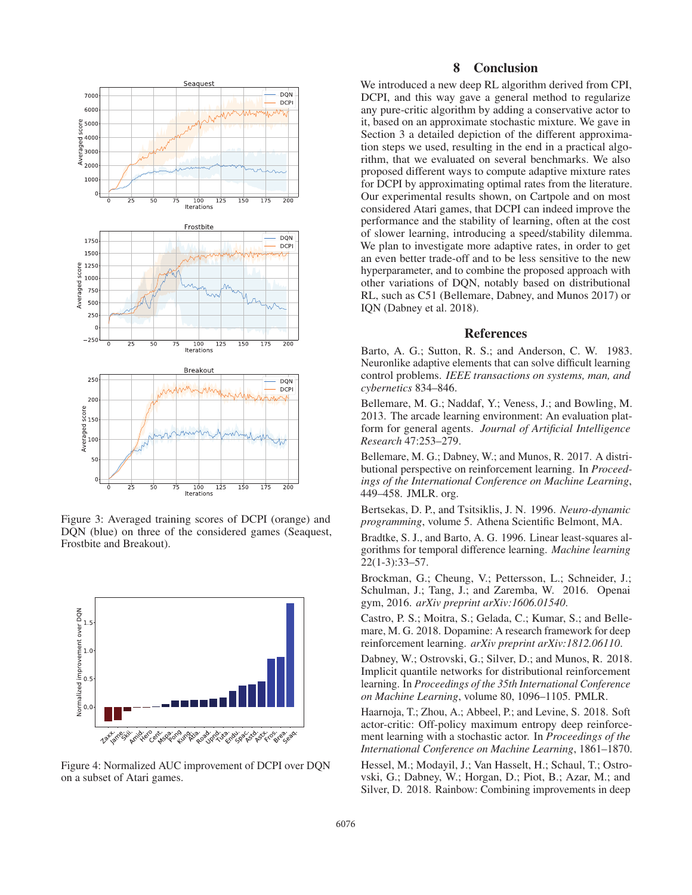

Figure 3: Averaged training scores of DCPI (orange) and DQN (blue) on three of the considered games (Seaquest, Frostbite and Breakout).



Figure 4: Normalized AUC improvement of DCPI over DQN on a subset of Atari games.

## 8 Conclusion

We introduced a new deep RL algorithm derived from CPI, DCPI, and this way gave a general method to regularize any pure-critic algorithm by adding a conservative actor to it, based on an approximate stochastic mixture. We gave in Section 3 a detailed depiction of the different approximation steps we used, resulting in the end in a practical algorithm, that we evaluated on several benchmarks. We also proposed different ways to compute adaptive mixture rates for DCPI by approximating optimal rates from the literature. Our experimental results shown, on Cartpole and on most considered Atari games, that DCPI can indeed improve the performance and the stability of learning, often at the cost of slower learning, introducing a speed/stability dilemma. We plan to investigate more adaptive rates, in order to get an even better trade-off and to be less sensitive to the new hyperparameter, and to combine the proposed approach with other variations of DQN, notably based on distributional RL, such as C51 (Bellemare, Dabney, and Munos 2017) or IQN (Dabney et al. 2018).

### References

Barto, A. G.; Sutton, R. S.; and Anderson, C. W. 1983. Neuronlike adaptive elements that can solve difficult learning control problems. *IEEE transactions on systems, man, and cybernetics* 834–846.

Bellemare, M. G.; Naddaf, Y.; Veness, J.; and Bowling, M. 2013. The arcade learning environment: An evaluation platform for general agents. *Journal of Artificial Intelligence Research* 47:253–279.

Bellemare, M. G.; Dabney, W.; and Munos, R. 2017. A distributional perspective on reinforcement learning. In *Proceedings of the International Conference on Machine Learning*, 449–458. JMLR. org.

Bertsekas, D. P., and Tsitsiklis, J. N. 1996. *Neuro-dynamic programming*, volume 5. Athena Scientific Belmont, MA.

Bradtke, S. J., and Barto, A. G. 1996. Linear least-squares algorithms for temporal difference learning. *Machine learning* 22(1-3):33–57.

Brockman, G.; Cheung, V.; Pettersson, L.; Schneider, J.; Schulman, J.; Tang, J.; and Zaremba, W. 2016. Openai gym, 2016. *arXiv preprint arXiv:1606.01540*.

Castro, P. S.; Moitra, S.; Gelada, C.; Kumar, S.; and Bellemare, M. G. 2018. Dopamine: A research framework for deep reinforcement learning. *arXiv preprint arXiv:1812.06110*.

Dabney, W.; Ostrovski, G.; Silver, D.; and Munos, R. 2018. Implicit quantile networks for distributional reinforcement learning. In *Proceedings of the 35th International Conference on Machine Learning*, volume 80, 1096–1105. PMLR.

Haarnoja, T.; Zhou, A.; Abbeel, P.; and Levine, S. 2018. Soft actor-critic: Off-policy maximum entropy deep reinforcement learning with a stochastic actor. In *Proceedings of the International Conference on Machine Learning*, 1861–1870.

Hessel, M.; Modayil, J.; Van Hasselt, H.; Schaul, T.; Ostrovski, G.; Dabney, W.; Horgan, D.; Piot, B.; Azar, M.; and Silver, D. 2018. Rainbow: Combining improvements in deep